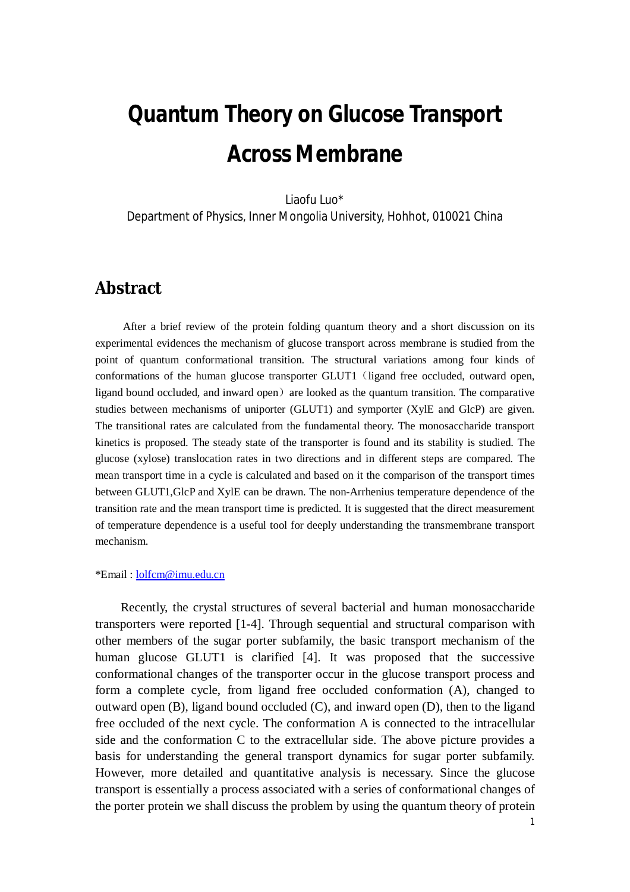# **Quantum Theory on Glucose Transport Across Membrane**

Liaofu Luo\*

Department of Physics, Inner Mongolia University, Hohhot, 010021 China

#### **Abstract**

After a brief review of the protein folding quantum theory and a short discussion on its experimental evidences the mechanism of glucose transport across membrane is studied from the point of quantum conformational transition. The structural variations among four kinds of conformations of the human glucose transporter GLUT1 (ligand free occluded, outward open, ligand bound occluded, and inward open) are looked as the quantum transition. The comparative studies between mechanisms of uniporter (GLUT1) and symporter (XylE and GlcP) are given. The transitional rates are calculated from the fundamental theory. The monosaccharide transport kinetics is proposed. The steady state of the transporter is found and its stability is studied. The glucose (xylose) translocation rates in two directions and in different steps are compared. The mean transport time in a cycle is calculated and based on it the comparison of the transport times between GLUT1,GlcP and XylE can be drawn. The non-Arrhenius temperature dependence of the transition rate and the mean transport time is predicted. It is suggested that the direct measurement of temperature dependence is a useful tool for deeply understanding the transmembrane transport mechanism.

#### \*Email : [lolfcm@imu.edu.cn](mailto:lolfcm@imu.edu.cn)

Recently, the crystal structures of several bacterial and human monosaccharide transporters were reported [1-4]. Through sequential and structural comparison with other members of the sugar porter subfamily, the basic transport mechanism of the human glucose GLUT1 is clarified [4]. It was proposed that the successive conformational changes of the transporter occur in the glucose transport process and form a complete cycle, from ligand free occluded conformation (A), changed to outward open (B), ligand bound occluded (C), and inward open (D), then to the ligand free occluded of the next cycle. The conformation A is connected to the intracellular side and the conformation C to the extracellular side. The above picture provides a basis for understanding the general transport dynamics for sugar porter subfamily. However, more detailed and quantitative analysis is necessary. Since the glucose transport is essentially a process associated with a series of conformational changes of the porter protein we shall discuss the problem by using the quantum theory of protein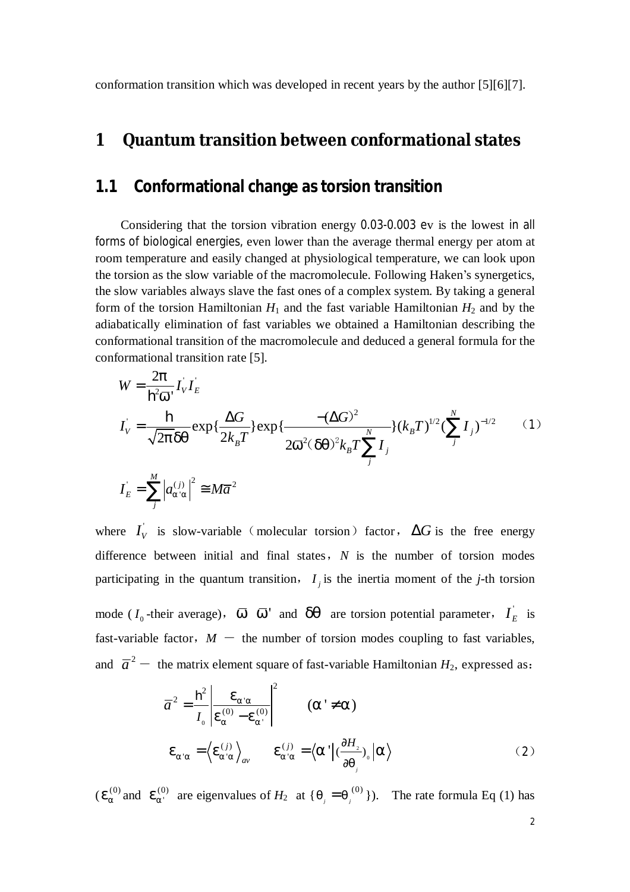conformation transition which was developed in recent years by the author [5][6][7].

#### **1 Quantum transition between conformational states**

#### **1.1 Conformational change as torsion transition**

Considering that the torsion vibration energy 0.03-0.003 ev is the lowest in all forms of biological energies, even lower than the average thermal energy per atom at room temperature and easily changed at physiological temperature, we can look upon the torsion as the slow variable of the macromolecule. Following Haken's synergetics, the slow variables always slave the fast ones of a complex system. By taking a general form of the torsion Hamiltonian  $H_1$  and the fast variable Hamiltonian  $H_2$  and by the adiabatically elimination of fast variables we obtained a Hamiltonian describing the conformational transition of the macromolecule and deduced a general formula for the conformational transition rate [5].

$$
W = \frac{2p}{\mathbf{h}^2 \bar{w}} I_V I_E
$$
  
\n
$$
I_V = \frac{\mathbf{h}}{\sqrt{2p} dq} exp{\frac{\Delta G}{2k_B T}\} exp{\frac{-(\Delta G)^2}{2\bar{w}^2 (dq)^2 k_B T \sum_{j}^{N} I_j}} (k_B T)^{1/2} (\sum_{j}^{N} I_j)^{-1/2}
$$
 (1)  
\n
$$
I_E = \sum_{j}^{M} |a_{a,a}^{(j)}|^2 \approx M \bar{a}^2
$$

where  $I_{V}$  is slow-variable (molecular torsion) factor,  $\Delta G$  is the free energy difference between initial and final states,*N* is the number of torsion modes participating in the quantum transition,  $I_j$  is the inertia moment of the *j*-th torsion

mode ( $I_0$ -their average),  $\overline{w}$   $\overline{w}$  and  $dq$  are torsion potential parameter,  $I_E$  is fast-variable factor,  $M -$  the number of torsion modes coupling to fast variables, and  $\bar{a}^2$  — the matrix element square of fast-variable Hamiltonian  $H_2$ , expressed as:

$$
\overline{a}^2 = \frac{\mathbf{h}^2}{I_0} \left| \frac{\mathbf{e}_{a'a}}{\mathbf{e}_a^{(0)} - \mathbf{e}_{a'}^{(0)}} \right|^2 \qquad (a' \neq a)
$$
  

$$
\mathbf{e}_{a'a} = \left\langle \mathbf{e}_{a'a}^{(j)} \right\rangle_{av} \qquad \mathbf{e}_{a'a}^{(j)} = \left\langle a' \right| \left( \frac{\partial H_2}{\partial q_j} \right)_0 \left| a \right\rangle \qquad (2)
$$

 $(e_s^{(0)}$  $e_a^{(0)}$  and  $e_{a'}^{(0)}$  are eigenvalues of  $H_2$  at { $q_j = q_j^{(0)}$ }). The rate formula Eq (1) has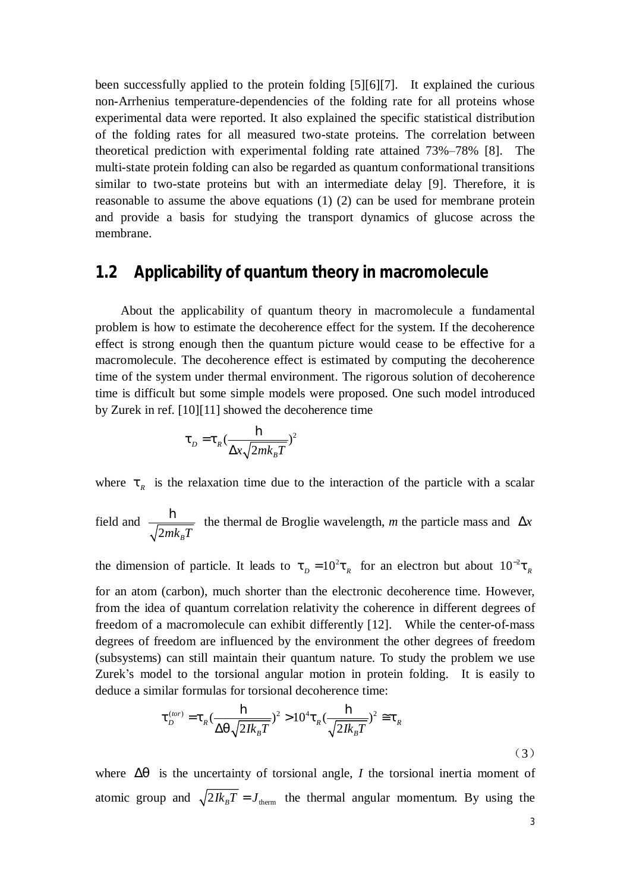been successfully applied to the protein folding [5][6][7]. It explained the curious non-Arrhenius temperature-dependencies of the folding rate for all proteins whose experimental data were reported. It also explained the specific statistical distribution of the folding rates for all measured two-state proteins. The correlation between theoretical prediction with experimental folding rate attained 73%–78% [8]. The multi-state protein folding can also be regarded as quantum conformational transitions similar to two-state proteins but with an intermediate delay [9]. Therefore, it is reasonable to assume the above equations (1) (2) can be used for membrane protein and provide a basis for studying the transport dynamics of glucose across the membrane.

#### **1.2 Applicability of quantum theory in macromolecule**

About the applicability of quantum theory in macromolecule a fundamental problem is how to estimate the decoherence effect for the system. If the decoherence effect is strong enough then the quantum picture would cease to be effective for a macromolecule. The decoherence effect is estimated by computing the decoherence time of the system under thermal environment. The rigorous solution of decoherence time is difficult but some simple models were proposed. One such model introduced by Zurek in ref. [10][11] showed the decoherence time

$$
t_D = t_R \left(\frac{\mathbf{h}}{\Delta x \sqrt{2mk_B T}}\right)^2
$$

where  $t<sub>R</sub>$  is the relaxation time due to the interaction of the particle with a scalar

field and 
$$
\frac{\mathbf{h}}{\sqrt{2mk_{B}T}}
$$
 the thermal de Broglie wavelength, *m* the particle mass and  $\Delta x$ 

the dimension of particle. It leads to  $t_p = 10^2 t_{R}$  for an electron but about  $10^{-2} t_{R}$ for an atom (carbon), much shorter than the electronic decoherence time. However, from the idea of quantum correlation relativity the coherence in different degrees of freedom of a macromolecule can exhibit differently [12]. While the center-of-mass degrees of freedom are influenced by the environment the other degrees of freedom (subsystems) can still maintain their quantum nature. To study the problem we use Zurek's model to the torsional angular motion in protein folding. It is easily to deduce a similar formulas for torsional decoherence time:

$$
\boldsymbol{t}_{D}^{(tor)} = \boldsymbol{t}_{R} \left( \frac{\mathbf{h}}{\Delta q \sqrt{2Ik_{B}T}} \right)^{2} > 10^{4} \boldsymbol{t}_{R} \left( \frac{\mathbf{h}}{\sqrt{2Ik_{B}T}} \right)^{2} \cong \boldsymbol{t}_{R}
$$
\n(3)

where  $\Delta q$  is the uncertainty of torsional angle, *I* the torsional inertia moment of atomic group and  $\sqrt{2} I k_B T = J_{\text{therm}}$  the thermal angular momentum. By using the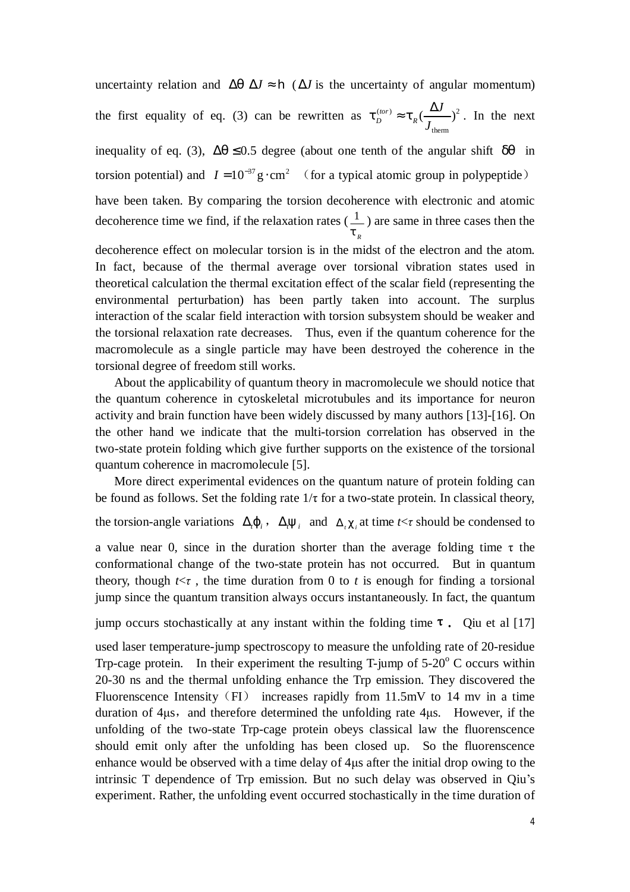uncertainty relation and  $\Delta q \Delta J \approx \mathbf{h}$  ( $\Delta J$  is the uncertainty of angular momentum) the first equality of eq. (3) can be rewritten as  $t_D^{(tor)} \approx t_R (\frac{\Delta J}{I})^2$ therm  $\sum_{R}$ ( $\frac{\Delta J}{I}$ ) *J*  $t_{R}(\frac{\Delta J}{\Delta t})^{2}$ . In the next

inequality of eq. (3),  $\Delta q \leq 0.5$  degree (about one tenth of the angular shift *dq* in torsion potential) and  $I = 10^{-37}$  g · cm<sup>2</sup> (for a typical atomic group in polypeptide)

have been taken. By comparing the torsion decoherence with electronic and atomic decoherence time we find, if the relaxation rates ( $\frac{1}{1}$ *R t* ) are same in three cases then the

decoherence effect on molecular torsion is in the midst of the electron and the atom. In fact, because of the thermal average over torsional vibration states used in theoretical calculation the thermal excitation effect of the scalar field (representing the environmental perturbation) has been partly taken into account. The surplus interaction of the scalar field interaction with torsion subsystem should be weaker and the torsional relaxation rate decreases. Thus, even if the quantum coherence for the macromolecule as a single particle may have been destroyed the coherence in the torsional degree of freedom still works.

About the applicability of quantum theory in macromolecule we should notice that the quantum coherence in cytoskeletal microtubules and its importance for neuron activity and brain function have been widely discussed by many authors [13]-[16]. On the other hand we indicate that the multi-torsion correlation has observed in the two-state protein folding which give further supports on the existence of the torsional quantum coherence in macromolecule [5].

More direct experimental evidences on the quantum nature of protein folding can be found as follows. Set the folding rate  $1/\tau$  for a two-state protein. In classical theory,

the torsion-angle variations  $\Delta_i \mathbf{j}_i$ ,  $\Delta_i \mathbf{y}_i$  and  $\Delta_i c_i$  at time  $t \leq \tau$  should be condensed to

a value near 0, since in the duration shorter than the average folding time τ the conformational change of the two-state protein has not occurred. But in quantum theory, though  $t \leq \tau$ , the time duration from 0 to t is enough for finding a torsional jump since the quantum transition always occurs instantaneously. In fact, the quantum

jump occurs stochastically at any instant within the folding time  $\tau$ . Que et al [17]

used laser temperature-jump spectroscopy to measure the unfolding rate of 20-residue Trp-cage protein. In their experiment the resulting  $T$ -jump of  $5{\text -}20^{\circ}$  C occurs within 20-30 ns and the thermal unfolding enhance the Trp emission. They discovered the Fluorenscence Intensity (FI) increases rapidly from 11.5mV to 14 mv in a time duration of 4μs, and therefore determined the unfolding rate 4μs. However, if the unfolding of the two-state Trp-cage protein obeys classical law the fluorenscence should emit only after the unfolding has been closed up. So the fluorenscence enhance would be observed with a time delay of 4μs after the initial drop owing to the intrinsic T dependence of Trp emission. But no such delay was observed in Qiu's experiment. Rather, the unfolding event occurred stochastically in the time duration of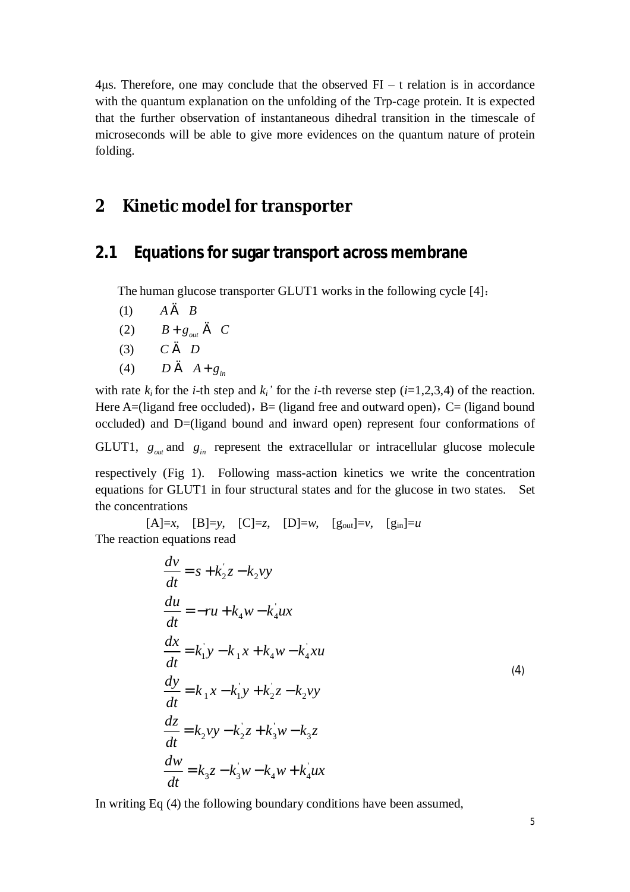$4\mu s$ . Therefore, one may conclude that the observed FI – t relation is in accordance with the quantum explanation on the unfolding of the Trp-cage protein. It is expected that the further observation of instantaneous dihedral transition in the timescale of microseconds will be able to give more evidences on the quantum nature of protein folding.

## **2 Kinetic model for transporter**

#### **2.1 Equations for sugar transport across membrane**

The human glucose transporter GLUT1 works in the following cycle [4]:

- (1)  $A \in B$
- (2)  $B+g_{\text{out}} \in C$
- (3)  $C \in D$
- (4)  $D \in A + g_{in}$

with rate  $k_i$  for the *i*-th step and  $k_i$ <sup>*'*</sup> for the *i*-th reverse step (*i*=1,2,3,4) of the reaction. Here A=(ligand free occluded), B= (ligand free and outward open), C= (ligand bound occluded) and D=(ligand bound and inward open) represent four conformations of

GLUT1,  $g_{out}$  and  $g_{in}$  represent the extracellular or intracellular glucose molecule

respectively (Fig 1). Following mass-action kinetics we write the concentration equations for GLUT1 in four structural states and for the glucose in two states. Set the concentrations

 $[A]=x$ ,  $[B]=y$ ,  $[C]=z$ ,  $[D]=w$ ,  $[g_{out}]=v$ ,  $[g_{in}]=u$ The reaction equations read

$$
\frac{dv}{dt} = s + k_2 z - k_2 vy
$$
\n
$$
\frac{du}{dt} = -ru + k_4 w - k_4 u x
$$
\n
$$
\frac{dx}{dt} = k_1 y - k_1 x + k_4 w - k_4 xu
$$
\n
$$
\frac{dy}{dt} = k_1 x - k_1 y + k_2 z - k_2 vy
$$
\n
$$
\frac{dz}{dt} = k_2 vy - k_2 z + k_3 w - k_3 z
$$
\n
$$
\frac{dw}{dt} = k_3 z - k_3 w - k_4 w + k_4 u x
$$
\n(4)

In writing Eq (4) the following boundary conditions have been assumed,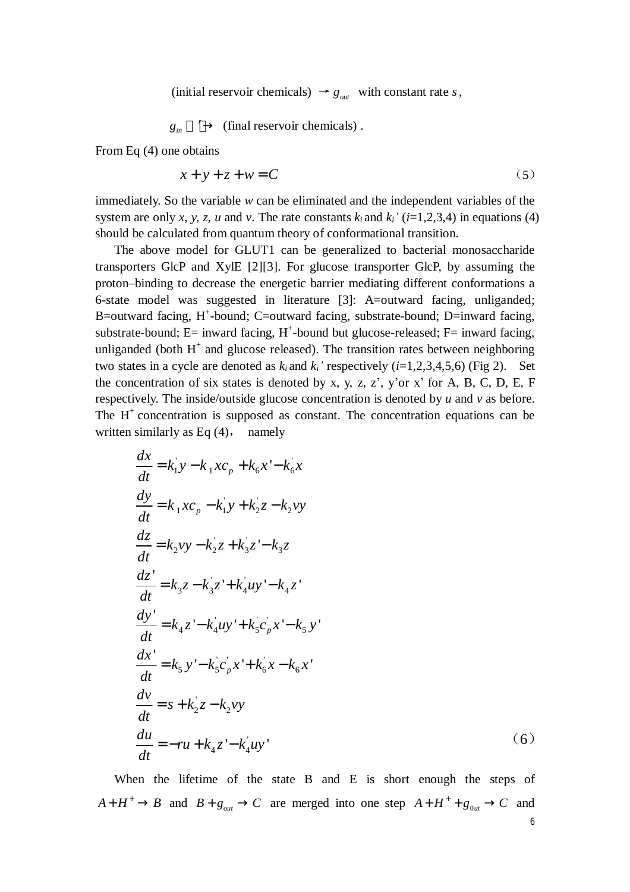(initial reservoir chemicals)  $\rightarrow g_{\text{out}}$  with constant rate *s*,

$$
g_{in} \longrightarrow \text{(final reservoir chemicals)}.
$$

From Eq (4) one obtains

$$
x + y + z + w = C \tag{5}
$$

immediately. So the variable *w* can be eliminated and the independent variables of the system are only *x*, *y*, *z*, *u* and *v*. The rate constants  $k_i$  and  $k_i$ <sup>*'*</sup> ( $i=1,2,3,4$ ) in equations (4) should be calculated from quantum theory of conformational transition.

The above model for GLUT1 can be generalized to bacterial monosaccharide transporters GlcP and XylE [2][3]. For glucose transporter GlcP, by assuming the proton–binding to decrease the energetic barrier mediating different conformations a 6-state model was suggested in literature [3]: A=outward facing, unliganded; B=outward facing, H<sup>+</sup>-bound; C=outward facing, substrate-bound; D=inward facing, substrate-bound;  $E=$  inward facing,  $H^+$ -bound but glucose-released;  $F=$  inward facing, unliganded (both  $H^+$  and glucose released). The transition rates between neighboring two states in a cycle are denoted as  $k_i$  and  $k_i$ <sup>*'*</sup> respectively ( $i=1,2,3,4,5,6$ ) (Fig 2). Set the concentration of six states is denoted by x, y, z, z', y'or x' for A, B, C, D, E, F respectively. The inside/outside glucose concentration is denoted by *u* and *v* as before. The  $H<sup>+</sup>$  concentration is supposed as constant. The concentration equations can be written similarly as Eq  $(4)$ , namely

$$
\frac{dx}{dt} = k_1 y - k_1 x c_p + k_6 x' - k_6 x
$$
  
\n
$$
\frac{dy}{dt} = k_1 x c_p - k_1 y + k_2 z - k_2 y y
$$
  
\n
$$
\frac{dz}{dt} = k_2 y y - k_2 z + k_3 z' - k_3 z
$$
  
\n
$$
\frac{dz'}{dt} = k_3 z - k_3 z' + k_4 u y' - k_4 z'
$$
  
\n
$$
\frac{dy'}{dt} = k_4 z' - k_4 u y' + k_5 c_p x' - k_5 y'
$$
  
\n
$$
\frac{dx'}{dt} = k_5 y' - k_5 c_p x' + k_6 x - k_6 x'
$$
  
\n
$$
\frac{dv}{dt} = s + k_2 z - k_2 v y
$$
  
\n
$$
\frac{du}{dt} = -r u + k_4 z' - k_4 u y'
$$
 (6)

When the lifetime of the state B and E is short enough the steps of  $A + H^+ \rightarrow B$  and  $B + g_{out} \rightarrow C$  are merged into one step  $A + H^+ + g_{out} \rightarrow C$  and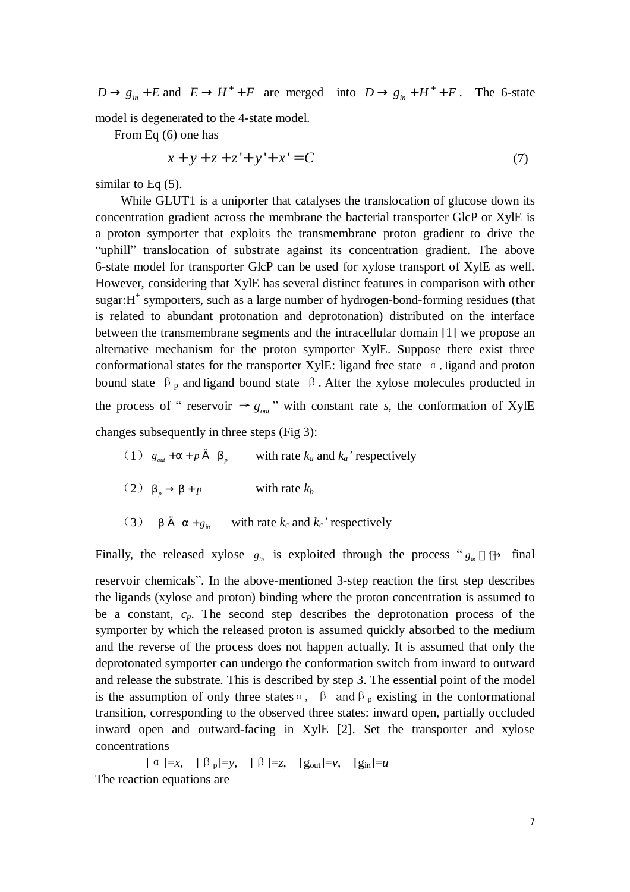$D \rightarrow g_{in} + E$  and  $E \rightarrow H^+ + F$  are merged into  $D \rightarrow g_{in} + H^+ + F$ . The 6-state

model is degenerated to the 4-state model.

From Eq (6) one has

 $x + y + z + z' + y' + x' = C$  (7)

similar to Eq  $(5)$ .

While GLUT1 is a uniporter that catalyses the translocation of glucose down its concentration gradient across the membrane the bacterial transporter GlcP or XylE is a proton symporter that exploits the transmembrane proton gradient to drive the "uphill" translocation of substrate against its concentration gradient. The above 6-state model for transporter GlcP can be used for xylose transport of XylE as well. However, considering that XylE has several distinct features in comparison with other sugar: H<sup>+</sup> symporters, such as a large number of hydrogen-bond-forming residues (that is related to abundant protonation and deprotonation) distributed on the interface between the transmembrane segments and the intracellular domain [1] we propose an alternative mechanism for the proton symporter XylE. Suppose there exist three conformational states for the transporter XylE: ligand free state  $\alpha$ , ligand and proton bound state  $\beta_p$  and ligand bound state  $\beta$ . After the xylose molecules producted in the process of " reservoir  $\rightarrow g_{out}$ " with constant rate *s*, the conformation of XylE changes subsequently in three steps (Fig 3):

(1)  $g_{out} + a + p \in b_p$  with rate  $k_a$  and  $k_a$ <sup>'</sup> respectively (2)  $b_p \rightarrow b + p$  with rate  $k_b$ (3)  $b \in a + g_m$  with rate  $k_c$  and  $k_c$ <sup>*'*</sup> respectively

Finally, the released xylose  $g_{in}$  is exploited through the process " $g_{in} \rightarrow$  final reservoir chemicals". In the above-mentioned 3-step reaction the first step describes the ligands (xylose and proton) binding where the proton concentration is assumed to be a constant, *cp*. The second step describes the deprotonation process of the symporter by which the released proton is assumed quickly absorbed to the medium and the reverse of the process does not happen actually. It is assumed that only the deprotonated symporter can undergo the conformation switch from inward to outward and release the substrate. This is described by step 3. The essential point of the model is the assumption of only three states  $\alpha$ ,  $\beta$  and  $\beta_p$  existing in the conformational transition, corresponding to the observed three states: inward open, partially occluded inward open and outward-facing in XylE [2]. Set the transporter and xylose concentrations

 $\left[\begin{array}{cc} \alpha \end{array}\right] = x$ ,  $\left[\begin{array}{cc} \beta \end{array}\right] = y$ ,  $\left[\begin{array}{cc} \beta \end{array}\right] = z$ ,  $\left[g_{\text{out}}\right] = v$ ,  $\left[g_{\text{in}}\right] = u$ The reaction equations are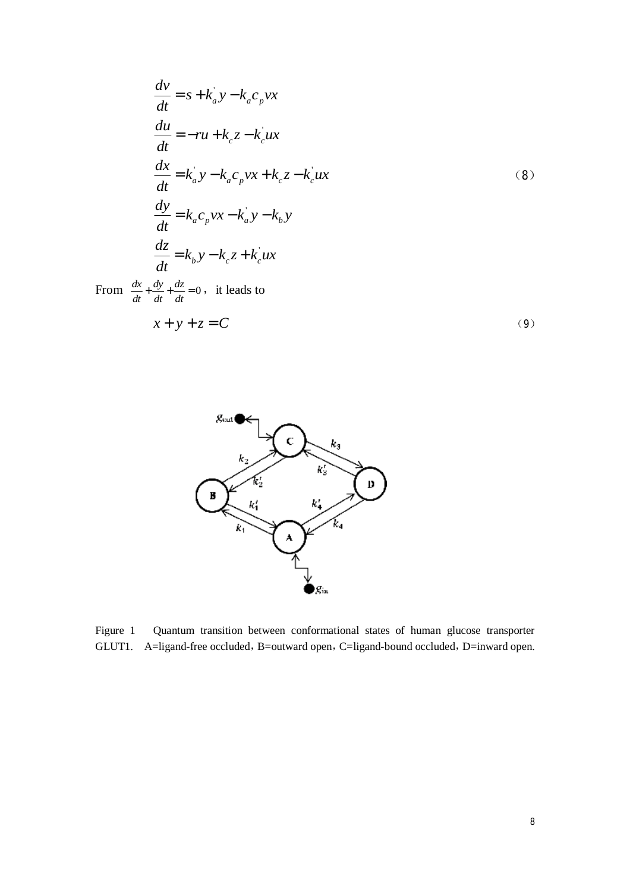$$
\frac{dv}{dt} = s + k_a y - k_a c_p vx
$$
\n
$$
\frac{du}{dt} = -ru + k_c z - k_c' ux
$$
\n
$$
\frac{dx}{dt} = k_a' y - k_a c_p vx + k_c z - k_c' ux
$$
\n(8)\n
$$
\frac{dy}{dt} = k_a c_p vx - k_a' y - k_b y
$$
\n
$$
\frac{dz}{dt} = k_b y - k_c z + k_c' ux
$$
\nFrom  $\frac{dx}{dt} + \frac{dy}{dt} + \frac{dz}{dt} = 0$ , it leads to\n
$$
x + y + z = C
$$
\n(9)



Figure 1 Quantum transition between conformational states of human glucose transporter GLUT1. A=ligand-free occluded, B=outward open, C=ligand-bound occluded, D=inward open.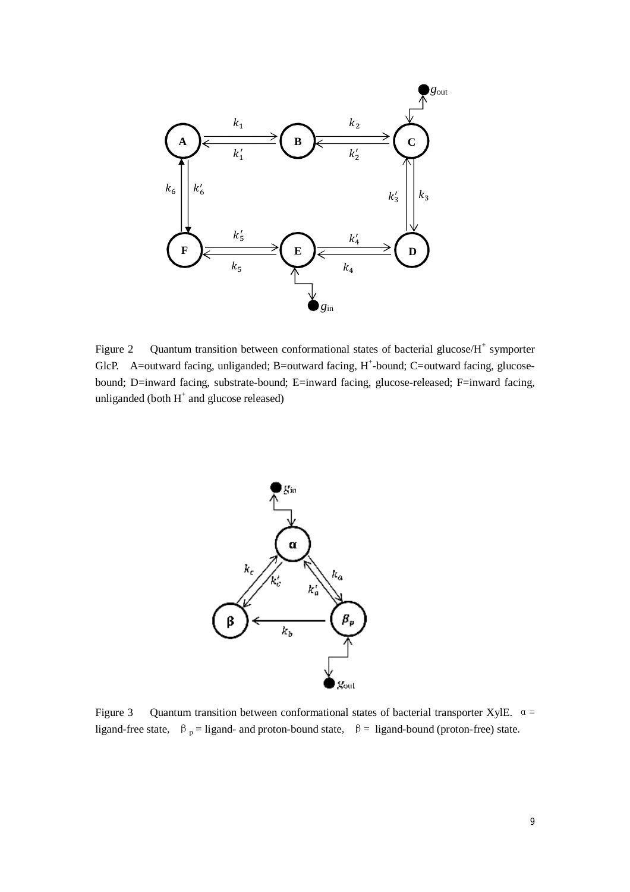

Figure 2 Quantum transition between conformational states of bacterial glucose/ $H^+$  symporter GlcP. A=outward facing, unliganded; B=outward facing,  $H^+$ -bound; C=outward facing, glucosebound; D=inward facing, substrate-bound; E=inward facing, glucose-released; F=inward facing, unliganded (both  $H^+$  and glucose released)



Figure 3 Quantum transition between conformational states of bacterial transporter XylE.  $\alpha$  = ligand-free state,  $\beta_p =$  ligand- and proton-bound state,  $\beta =$  ligand-bound (proton-free) state.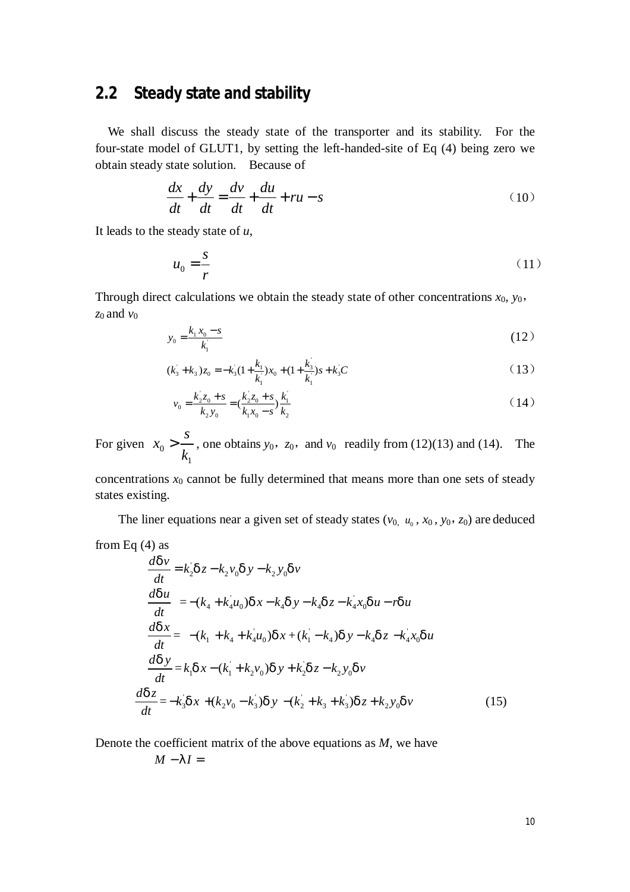## **2.2 Steady state and stability**

We shall discuss the steady state of the transporter and its stability. For the four-state model of GLUT1, by setting the left-handed-site of Eq (4) being zero we obtain steady state solution. Because of

$$
\frac{dx}{dt} + \frac{dy}{dt} = \frac{dv}{dt} + \frac{du}{dt} + ru - s
$$
 (10)

It leads to the steady state of *u*,

$$
u_0 = \frac{s}{r} \tag{11}
$$

Through direct calculations we obtain the steady state of other concentrations  $x_0$ ,  $y_0$ ,  $z_0$  and  $v_0$ 

$$
y_0 = \frac{k_1 x_0 - s}{k_1} \tag{12}
$$

$$
(k_3 + k_3)z_0 = -k_3(1 + \frac{k_1}{k_1})x_0 + (1 + \frac{k_3}{k_1})s + k_3C
$$
\n(13)

$$
v_0 = \frac{k_2 z_0 + s}{k_2 y_0} = \left(\frac{k_2 z_0 + s}{k_1 x_0 - s}\right) \frac{k_1}{k_2}
$$
 (14)

For given  $x_0$ 1 *s x k*  $\geq \frac{3}{1}$ , one obtains  $y_0$ ,  $z_0$ , and  $v_0$  readily from (12)(13) and (14). The

concentrations  $x_0$  cannot be fully determined that means more than one sets of steady states existing.

The liner equations near a given set of steady states  $(v_0, u_0, x_0, y_0, z_0)$  are deduced

$$
\frac{d^2y}{dt^2} = k_2 dz - k_2 v_0 dy - k_2 y_0 dv
$$
\n
$$
\frac{d^2y}{dt^2} = -(k_4 + k_4 u_0) dx - k_4 dy - k_4 dz - k_4 x_0 du - r du
$$
\n
$$
\frac{d^2y}{dt^2} = -(k_1 + k_4 + k_4 u_0) dx + (k_1 - k_4) dy - k_4 dz - k_4 x_0 du
$$
\n
$$
\frac{d^2y}{dt^2} = k_1 dx - (k_1 + k_2 v_0) dy + k_2 dz - k_2 y_0 dv
$$
\n
$$
\frac{d^2z}{dt^2} = -k_3 dx + (k_2 v_0 - k_3) dy - (k_2 + k_3 + k_3) dz + k_2 y_0 dv
$$
\n(15)

Denote the coefficient matrix of the above equations as *M*, we have

$$
M-II=
$$

from Eq  $(4)$  as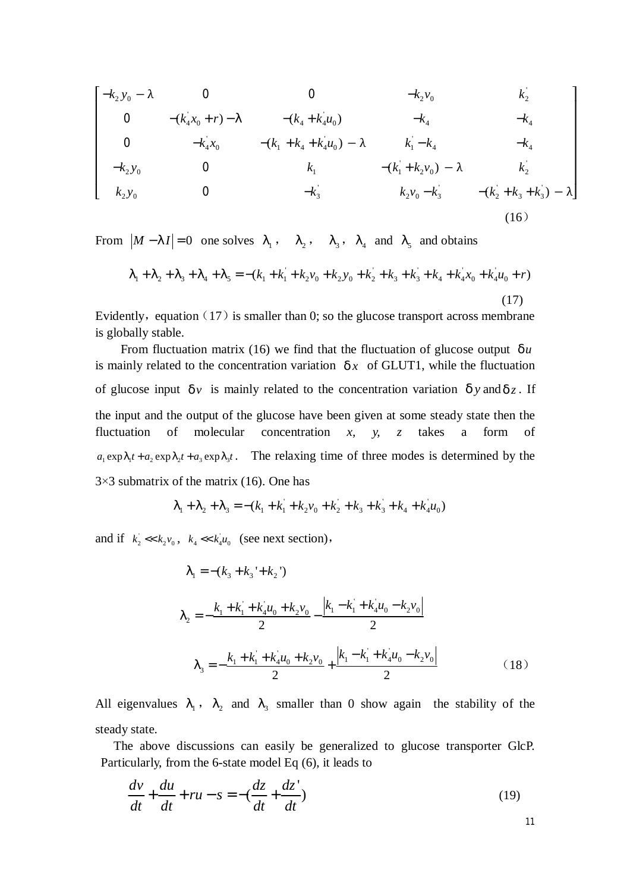$$
\begin{bmatrix}\n-k_2 y_0 - \lambda & 0 & 0 & -k_2 v_0 & k_2 \\
0 & -(k_4 x_0 + r) - 1 & -(k_4 + k_4 u_0) & -k_4 & -k_4 \\
0 & -k_4 x_0 & -(k_1 + k_4 + k_4 u_0) - \lambda & k_1 - k_4 & -k_4 \\
-k_2 y_0 & 0 & k_1 & -(k_1 + k_2 v_0) - \lambda & k_2 \\
k_2 y_0 & 0 & -k_3 & k_2 v_0 - k_3 & -(k_2 + k_3 + k_3) - \lambda\n\end{bmatrix}
$$
\n(16)

From  $|M - II| = 0$  one solves  $I_1$ ,  $I_2$ ,  $I_3$ ,  $I_4$  and  $I_5$  and obtains

$$
I_1 + I_2 + I_3 + I_4 + I_5 = -(k_1 + k_1 + k_2v_0 + k_2y_0 + k_2 + k_3 + k_4 + k_4x_0 + k_4u_0 + r)
$$
\n(17)

Evidently, equation  $(17)$  is smaller than 0; so the glucose transport across membrane is globally stable.

From fluctuation matrix (16) we find that the fluctuation of glucose output  $du$ is mainly related to the concentration variation  $dx$  of GLUT1, while the fluctuation of glucose input  $d<sub>v</sub>$  is mainly related to the concentration variation  $d<sub>y</sub>$  and  $d<sub>z</sub>$ . If the input and the output of the glucose have been given at some steady state then the fluctuation of molecular concentration *x, y, z* takes a form of  $a_1 \exp I_1 t + a_2 \exp I_2 t + a_3 \exp I_3 t$ . The relaxing time of three modes is determined by the  $3\times3$  submatrix of the matrix (16). One has

$$
I_1 + I_2 + I_3 = -(k_1 + k_1 + k_2 v_0 + k_2 + k_3 + k_4 + k_4 u_0)
$$

and if  $k_2 \ll k_2 v_0$ ,  $k_4 \ll k_4 u_0$  (see next section),

$$
I_{1} = -(k_{3} + k_{3} + k_{2})
$$
\n
$$
I_{2} = -\frac{k_{1} + k_{1} + k_{4}u_{0} + k_{2}v_{0}}{2} - \frac{|k_{1} - k_{1} + k_{4}u_{0} - k_{2}v_{0}|}{2}
$$
\n
$$
I_{3} = -\frac{k_{1} + k_{1} + k_{4}u_{0} + k_{2}v_{0}}{2} + \frac{|k_{1} - k_{1} + k_{4}u_{0} - k_{2}v_{0}|}{2}
$$
\n(18)

All eigenvalues  $l_1$ ,  $l_2$  and  $l_3$  smaller than 0 show again the stability of the steady state.

The above discussions can easily be generalized to glucose transporter GlcP. Particularly, from the 6-state model Eq (6), it leads to

$$
\frac{dv}{dt} + \frac{du}{dt} + ru - s = -\left(\frac{dz}{dt} + \frac{dz'}{dt}\right)
$$
\n(19)

11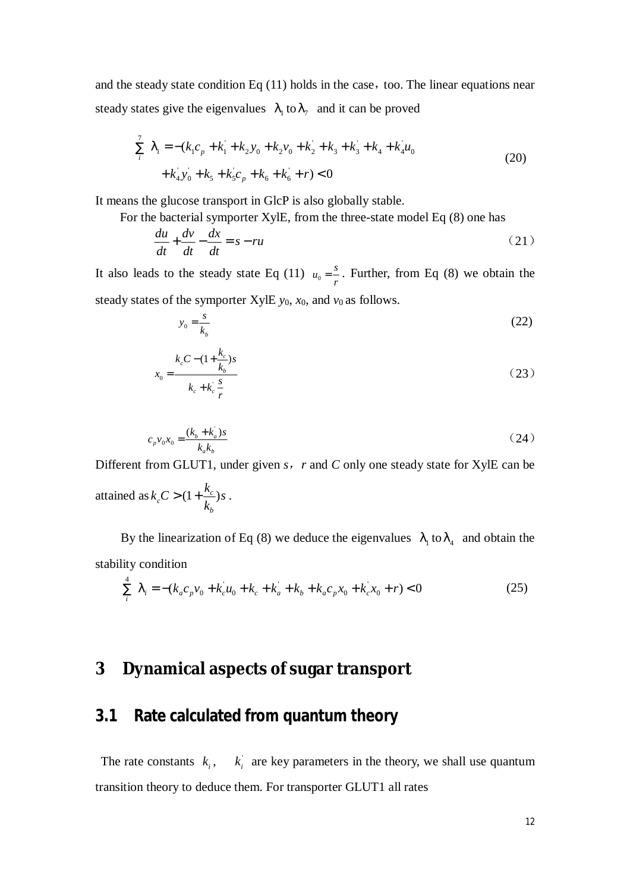and the steady state condition Eq  $(11)$  holds in the case, too. The linear equations near steady states give the eigenvalues  $l_1$  to  $l_7$  and it can be proved

$$
\sum_{i}^{7} I_{i} = -(k_{1}c_{p} + k_{1} + k_{2}y_{0} + k_{2}v_{0} + k_{2} + k_{3} + k_{4} + k_{4}u_{0} + k_{4}v_{0} + k_{5}v_{0} + k_{5} + k_{5}c_{p} + k_{6} + k_{6} + r) < 0
$$
\n(20)

It means the glucose transport in GlcP is also globally stable.

For the bacterial symporter XylE, from the three-state model Eq (8) one has

$$
\frac{du}{dt} + \frac{dv}{dt} - \frac{dx}{dt} = s - ru
$$
\n(21)

It also leads to the steady state Eq (11)  $u_0 = \frac{s}{r}$ . Further, from Eq (8) we obtain the steady states of the symporter XylE  $y_0$ ,  $x_0$ , and  $v_0$  as follows.

$$
y_0 = \frac{s}{k_b} \tag{22}
$$

$$
x_0 = \frac{k_c C - (1 + \frac{k_c}{k_b})s}{k_c + k_c \frac{s}{r}}
$$
 (23)

$$
c_p v_0 x_0 = \frac{(k_b + k_a)s}{k_a k_b}
$$
 (24)

Different from GLUT1, under given *s,r* and *C* only one steady state for XylE can be attained as  $k_c C > (1 + \frac{k_c}{l})$ *b*  $k_c C > (1 + \frac{k_c}{l})s$ *k*  $> (1 + \frac{R_c}{I})s$ .

By the linearization of Eq (8) we deduce the eigenvalues  $l_1$  to  $l_4$  and obtain the stability condition

$$
\sum_{i}^{4} I_{i} = -(k_{a}c_{p}v_{0} + k_{c}u_{0} + k_{c} + k_{a} + k_{b} + k_{a}c_{p}x_{0} + k_{c}x_{0} + r) < 0
$$
\n(25)

# **3 Dynamical aspects of sugar transport**

## **3.1 Rate calculated from quantum theory**

The rate constants  $k_i$ ,  $k_i$  are key parameters in the theory, we shall use quantum transition theory to deduce them. For transporter GLUT1 all rates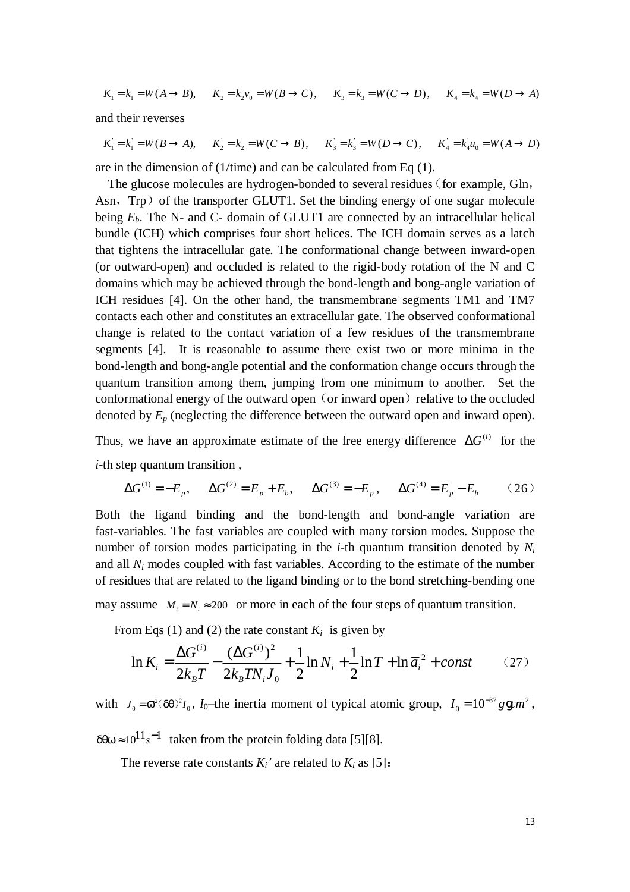$$
K_1 = k_1 = W(A \to B), \quad K_2 = k_2 v_0 = W(B \to C), \quad K_3 = k_3 = W(C \to D), \quad K_4 = k_4 = W(D \to A)
$$

and their reverses

$$
K_1 = k_1 = W(B \to A), \quad K_2 = k_2 = W(C \to B), \quad K_3 = k_3 = W(D \to C), \quad K_4 = k_4 u_0 = W(A \to D)
$$

are in the dimension of (1/time) and can be calculated from Eq (1).

The glucose molecules are hydrogen-bonded to several residues (for example, Gln, Asn, Trp) of the transporter GLUT1. Set the binding energy of one sugar molecule being  $E_b$ . The N- and C- domain of GLUT1 are connected by an intracellular helical bundle (ICH) which comprises four short helices. The ICH domain serves as a latch that tightens the intracellular gate. The conformational change between inward-open (or outward-open) and occluded is related to the rigid-body rotation of the N and C domains which may be achieved through the bond-length and bong-angle variation of ICH residues [4]. On the other hand, the transmembrane segments TM1 and TM7 contacts each other and constitutes an extracellular gate. The observed conformational change is related to the contact variation of a few residues of the transmembrane segments [4]. It is reasonable to assume there exist two or more minima in the bond-length and bong-angle potential and the conformation change occurs through the quantum transition among them, jumping from one minimum to another. Set the conformational energy of the outward open (or inward open) relative to the occluded denoted by  $E_p$  (neglecting the difference between the outward open and inward open).

Thus, we have an approximate estimate of the free energy difference  $\Delta G^{(i)}$  for the *i*-th step quantum transition,

$$
\Delta G^{(1)} = -E_p, \quad \Delta G^{(2)} = E_p + E_b, \quad \Delta G^{(3)} = -E_p, \quad \Delta G^{(4)} = E_p - E_b \quad (26)
$$

Both the ligand binding and the bond-length and bond-angle variation are fast-variables. The fast variables are coupled with many torsion modes. Suppose the number of torsion modes participating in the *i*-th quantum transition denoted by *N<sup>i</sup>* and all  $N_i$  modes coupled with fast variables. According to the estimate of the number of residues that are related to the ligand binding or to the bond stretching-bending one

may assume  $M_i = N_i \approx 200$  or more in each of the four steps of quantum transition.

From Eqs (1) and (2) the rate constant  $K_i$  is given by

$$
\ln K_i = \frac{\Delta G^{(i)}}{2k_B T} - \frac{(\Delta G^{(i)})^2}{2k_B T N_i J_0} + \frac{1}{2} \ln N_i + \frac{1}{2} \ln T + \ln \overline{a}_i^2 + const \tag{27}
$$

with  $J_0 = \overline{w}^2 (dq)^2 I_0$ ,  $I_0$ -the inertia moment of typical atomic group,  $I_0 = 10^{-37} g g cm^2$  $I_0 = 10^{-37}$  gg cm<sup>2</sup>,

 $dq\overline{w} \approx 10^{11} s^{-1}$  taken from the protein folding data [5][8].

The reverse rate constants  $K_i$ <sup>*'*</sup> are related to  $K_i$  as [5]: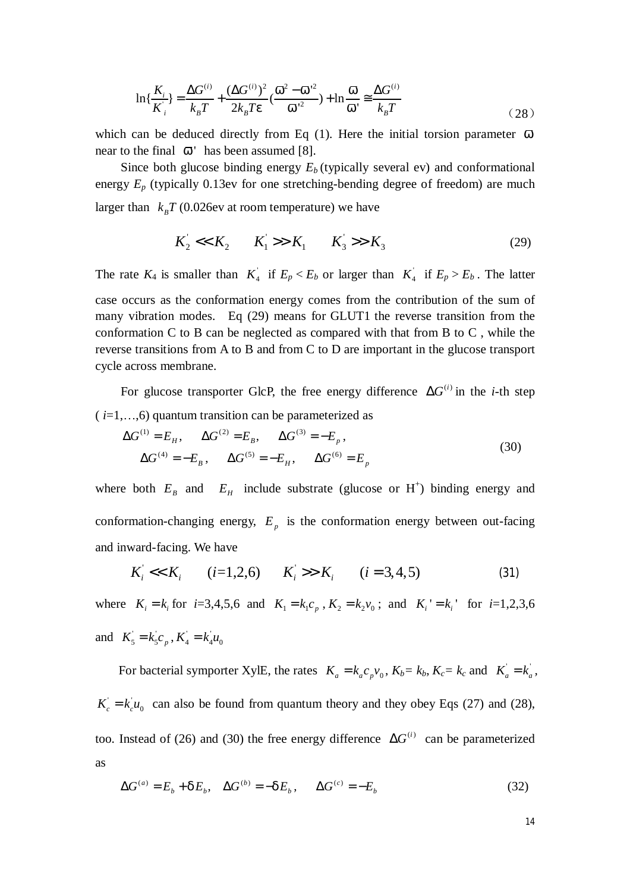$$
\ln{\frac{K_i}{K_i}} = \frac{\Delta G^{(i)}}{k_B T} + \frac{(\Delta G^{(i)})^2}{2k_B T e} (\frac{\overline{w}^2 - \overline{w}^{2}}{\overline{w}^{2}}) + \ln{\frac{\overline{w}}{\overline{w}}} \cong \frac{\Delta G^{(i)}}{k_B T}
$$
(28)

which can be deduced directly from Eq (1). Here the initial torsion parameter  $\bar{w}$ near to the final  $\bar{w}$  has been assumed [8].

Since both glucose binding energy  $E_b$  (typically several ev) and conformational energy  $E_p$  (typically 0.13ev for one stretching-bending degree of freedom) are much larger than  $k_B T (0.026$  ev at room temperature) we have

$$
K_2' << K_2 \qquad K_1' >> K_1 \qquad K_3' >> K_3 \tag{29}
$$

The rate  $K_4$  is smaller than  $K_4$  if  $E_p < E_b$  or larger than  $K_4$  if  $E_p > E_b$ . The latter case occurs as the conformation energy comes from the contribution of the sum of many vibration modes. Eq (29) means for GLUT1 the reverse transition from the conformation C to B can be neglected as compared with that from B to C , while the reverse transitions from A to B and from C to D are important in the glucose transport cycle across membrane.

For glucose transporter GlcP, the free energy difference  $\Delta G^{(i)}$  in the *i*-th step  $(i=1,...,6)$  quantum transition can be parameterized as

$$
\Delta G^{(1)} = E_H, \qquad \Delta G^{(2)} = E_B, \qquad \Delta G^{(3)} = -E_p,
$$
  

$$
\Delta G^{(4)} = -E_B, \qquad \Delta G^{(5)} = -E_H, \qquad \Delta G^{(6)} = E_p
$$
 (30)

where both  $E_B$  and  $E_H$  include substrate (glucose or H<sup>+</sup>) binding energy and conformation-changing energy,  $E_p$  is the conformation energy between out-facing and inward-facing. We have

$$
K_i' \ll K_i \qquad (i=1,2,6) \qquad K_i' \gg K_i \qquad (i=3,4,5) \tag{31}
$$

where  $K_i = k_i$  for  $i=3,4,5,6$  and  $K_1 = k_1 c_p$ ,  $K_2 = k_2 v_0$ ; and  $K_i' = k_i'$  for  $i=1,2,3,6$ and  $K_5 = k_5 c_p$ ,  $K_4 = k_4 u_0$ 

For bacterial symporter XylE, the rates  $K_a = k_a c_p v_0$ ,  $K_b = k_b$ ,  $K_c = k_c$  and  $K_a = k_a$ ,  $K_c = k_c u_0$  can also be found from quantum theory and they obey Eqs (27) and (28), too. Instead of (26) and (30) the free energy difference  $\Delta G^{(i)}$  can be parameterized as

$$
\Delta G^{(a)} = E_b + dE_b, \quad \Delta G^{(b)} = -dE_b, \quad \Delta G^{(c)} = -E_b \tag{32}
$$

14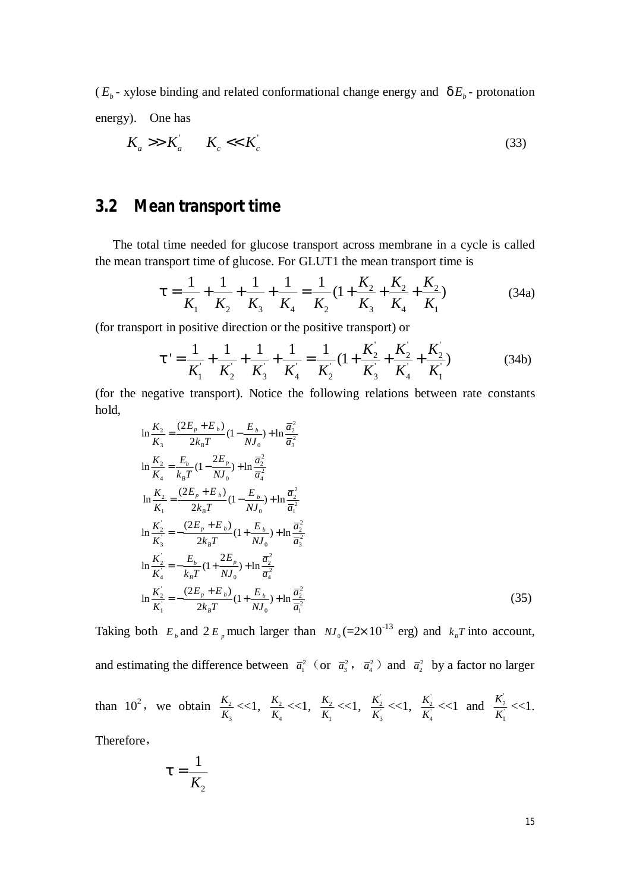$(E_b - x)$  - *xylose binding and related conformational change energy and*  $dE_b$  *- protonation* energy). One has

$$
K_a \gg K_a \qquad K_c \ll K_c \tag{33}
$$

## **3.2 Mean transport time**

 The total time needed for glucose transport across membrane in a cycle is called the mean transport time of glucose. For GLUT1 the mean transport time is

$$
t = \frac{1}{K_1} + \frac{1}{K_2} + \frac{1}{K_3} + \frac{1}{K_4} = \frac{1}{K_2} \left( 1 + \frac{K_2}{K_3} + \frac{K_2}{K_4} + \frac{K_2}{K_1} \right)
$$
(34a)

(for transport in positive direction or the positive transport) or

$$
t' = \frac{1}{K_1} + \frac{1}{K_2} + \frac{1}{K_3} + \frac{1}{K_4} = \frac{1}{K_2} \left( 1 + \frac{K_2}{K_3} + \frac{K_2}{K_4} + \frac{K_2}{K_1} \right) \tag{34b}
$$

(for the negative transport). Notice the following relations between rate constants hold,

$$
\ln \frac{K_2}{K_3} = \frac{(2E_p + E_b)}{2k_B T} (1 - \frac{E_b}{NJ_0}) + \ln \frac{\overline{a}_2^2}{\overline{a}_3^2}
$$
\n
$$
\ln \frac{K_2}{K_4} = \frac{E_b}{k_B T} (1 - \frac{2E_p}{NJ_0}) + \ln \frac{\overline{a}_2^2}{\overline{a}_4^2}
$$
\n
$$
\ln \frac{K_2}{K_1} = \frac{(2E_p + E_b)}{2k_B T} (1 - \frac{E_b}{NJ_0}) + \ln \frac{\overline{a}_2^2}{\overline{a}_1^2}
$$
\n
$$
\ln \frac{K_2^2}{K_3^2} = -\frac{(2E_p + E_b)}{2k_B T} (1 + \frac{E_b}{NJ_0}) + \ln \frac{\overline{a}_2^2}{\overline{a}_3^2}
$$
\n
$$
\ln \frac{K_2^2}{K_4^2} = -\frac{E_b}{k_B T} (1 + \frac{2E_p}{NJ_0}) + \ln \frac{\overline{a}_2^2}{\overline{a}_4^2}
$$
\n
$$
\ln \frac{K_2^2}{K_1^2} = -\frac{(2E_p + E_b)}{2k_B T} (1 + \frac{E_b}{NJ_0}) + \ln \frac{\overline{a}_2^2}{\overline{a}_1^2}
$$
\n(35)

Taking both  $E_b$  and  $2E_p$  much larger than  $NJ_0 (=2 \times 10^{-13} \text{ erg})$  and  $k_B T$  into account, and estimating the difference between  $\bar{a}_1^2$  (or  $\bar{a}_3^2$ ,  $\bar{a}_4^2$ ) and  $\bar{a}_2^2$  by a factor no larger than  $10^2$ , we obtain  $\frac{K_2}{K}$ 3 *K*  $\frac{K_2}{K_3}$  <<1,  $\frac{K_2}{K_4}$ 4 *K*  $\frac{K_2}{K_4}$  <<1,  $\frac{K_2}{K_1}$ 1 *K*  $\frac{K_2}{K_1}$  <<1,  $\frac{K_2}{K_3}$ *K*  $\frac{K_2}{K_3}$  <<1,  $\frac{K_2}{K_4}$ *K*  $\frac{K_2}{K_4}$  <<1 and  $\frac{K_2}{K_1}$ *K*  $\frac{K_2}{K_1}$  <<1.

Therefore,

$$
t=\frac{1}{K_2}
$$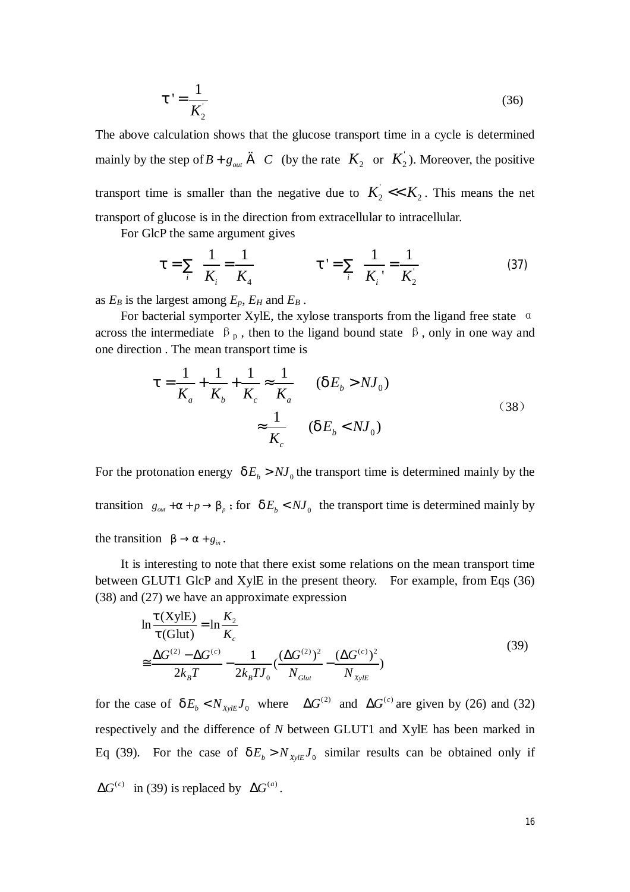$$
t' = \frac{1}{K_2}
$$
\n<sup>(36)</sup>

The above calculation shows that the glucose transport time in a cycle is determined mainly by the step of  $B + g_{out} \in C$  (by the rate  $K_2$  or  $K_2$ ). Moreover, the positive transport time is smaller than the negative due to  $K_2' \ll K_2$ . This means the net transport of glucose is in the direction from extracellular to intracellular.

For GlcP the same argument gives

$$
t = \sum_{i} \frac{1}{K_i} = \frac{1}{K_4} \qquad t' = \sum_{i} \frac{1}{K_i} = \frac{1}{K_2}
$$
 (37)

as  $E_B$  is the largest among  $E_p$ ,  $E_H$  and  $E_B$ .

For bacterial symporter XylE, the xylose transports from the ligand free state  $\alpha$ across the intermediate  $\beta_p$ , then to the ligand bound state  $\beta$ , only in one way and one direction . The mean transport time is

$$
t = \frac{1}{K_a} + \frac{1}{K_b} + \frac{1}{K_c} \approx \frac{1}{K_a} \qquad (dE_b > N J_0)
$$
  

$$
\approx \frac{1}{K_c} \qquad (dE_b < N J_0)
$$
 (38)

For the protonation energy  $dE_b > NJ_0$  the transport time is determined mainly by the transition  $g_{\text{out}} + a + p \rightarrow b_p$ ; for  $dE_b < NJ_0$  the transport time is determined mainly by the transition  $b \rightarrow a + g_{in}$ .

It is interesting to note that there exist some relations on the mean transport time between GLUT1 GlcP and XylE in the present theory. For example, from Eqs (36) (38) and (27) we have an approximate expression

$$
\ln \frac{t(XyIE)}{t(Glut)} = \ln \frac{K_2}{K_c}
$$
\n
$$
\approx \frac{\Delta G^{(2)} - \Delta G^{(c)}}{2k_B T} - \frac{1}{2k_B T J_0} \left(\frac{(\Delta G^{(2)})^2}{N_{Glut}} - \frac{(\Delta G^{(c)})^2}{N_{xyle}}\right)
$$
\n(39)

for the case of  $dE_b < N_{\text{xyE}} J_0$  where  $\Delta G^{(2)}$  and  $\Delta G^{(c)}$  are given by (26) and (32) respectively and the difference of *N* between GLUT1 and XylE has been marked in Eq (39). For the case of  $dE_b > N_{XylE} J_0$  similar results can be obtained only if  $\Delta G^{(c)}$  in (39) is replaced by  $\Delta G^{(a)}$ .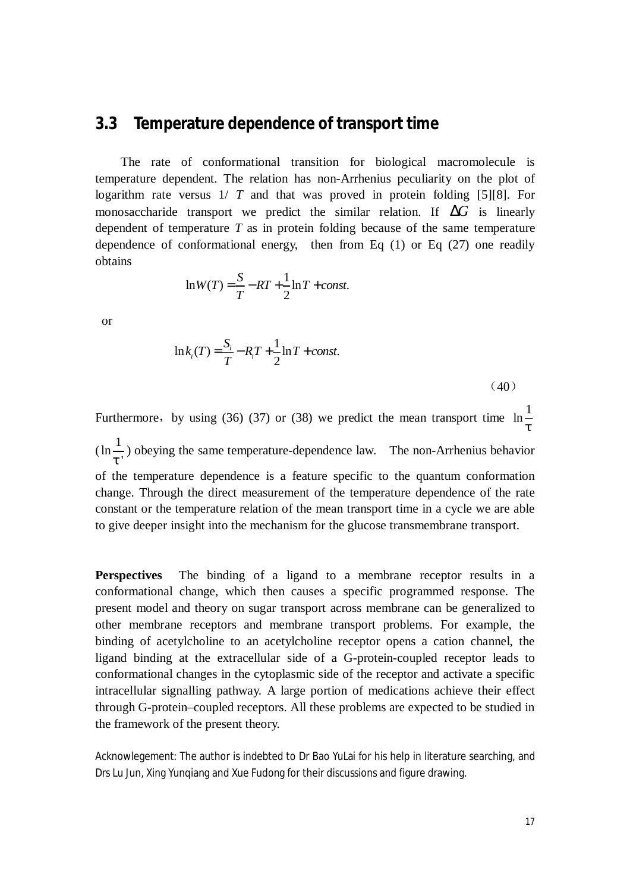#### **3.3 Temperature dependence of transport time**

The rate of conformational transition for biological macromolecule is temperature dependent. The relation has non-Arrhenius peculiarity on the plot of logarithm rate versus 1/ *T* and that was proved in protein folding [5][8]. For monosaccharide transport we predict the similar relation. If  $\Delta G$  is linearly dependent of temperature *T* as in protein folding because of the same temperature dependence of conformational energy, then from Eq (1) or Eq (27) one readily obtains

$$
\ln W(T) = \frac{S}{T} - RT + \frac{1}{2}\ln T + const.
$$

or

$$
\ln k_i(T) = \frac{S_i}{T} - R_i T + \frac{1}{2} \ln T + const.
$$

(40)

Furthermore, by using (36) (37) or (38) we predict the mean transport time  $\ln \frac{1}{n}$ *t*  $(\ln \frac{1}{\cdot})$ *t* ' ) obeying the same temperature-dependence law. The non-Arrhenius behavior of the temperature dependence is a feature specific to the quantum conformation change. Through the direct measurement of the temperature dependence of the rate constant or the temperature relation of the mean transport time in a cycle we are able to give deeper insight into the mechanism for the glucose transmembrane transport.

**Perspectives** The binding of a ligand to a membrane receptor results in a conformational change, which then causes a specific programmed response. The present model and theory on sugar transport across membrane can be generalized to other membrane receptors and membrane transport problems. For example, the binding of acetylcholine to an acetylcholine receptor opens a cation channel, the ligand binding at the extracellular side of a G-protein-coupled receptor leads to conformational changes in the cytoplasmic side of the receptor and activate a specific intracellular signalling pathway. A large portion of medications achieve their effect through G-protein–coupled receptors. All these problems are expected to be studied in the framework of the present theory.

Acknowlegement: The author is indebted to Dr Bao YuLai for his help in literature searching, and Drs Lu Jun, Xing Yunqiang and Xue Fudong for their discussions and figure drawing.